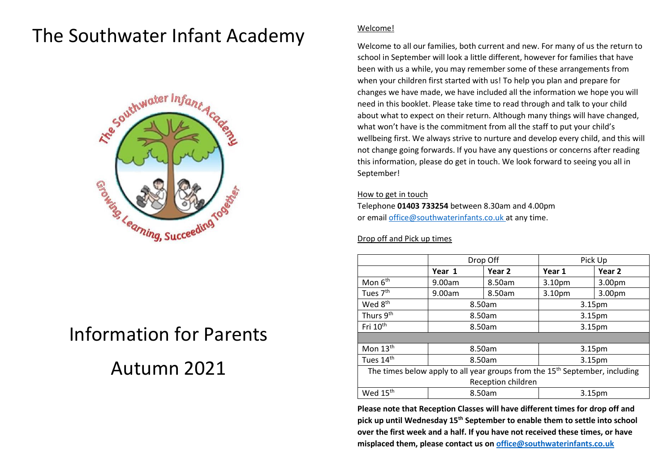# The Southwater Infant Academy



# Information for Parents Autumn 2021

# Welcome!

Welcome to all our families, both current and new. For many of us the return to school in September will look a little different, however for families that have been with us a while, you may remember some of these arrangements from when your children first started with us! To help you plan and prepare for changes we have made, we have included all the information we hope you will need in this booklet. Please take time to read through and talk to your child about what to expect on their return. Although many things will have changed, what won't have is the commitment from all the staff to put your child's wellbeing first. We always strive to nurture and develop every child, and this will not change going forwards. If you have any questions or concerns after reading this information, please do get in touch. We look forward to seeing you all in September!

# How to get in touch

Telephone **01403 733254** between 8.30am and 4.00pm or email [office@southwaterinfants.co.uk](mailto:office@southwaterinfants.co.uk) at any time.

# Drop off and Pick up times

|                                                                                         | Drop Off |                   | Pick Up            |        |
|-----------------------------------------------------------------------------------------|----------|-------------------|--------------------|--------|
|                                                                                         | Year 1   | Year <sub>2</sub> | Year 1             | Year 2 |
| Mon 6 <sup>th</sup>                                                                     | 9.00am   | 8.50am            | 3.10 <sub>pm</sub> | 3.00pm |
| Tues 7 <sup>th</sup>                                                                    | 9.00am   | 8.50am            | 3.10pm             | 3.00pm |
| Wed 8 <sup>th</sup>                                                                     | 8.50am   |                   | 3.15pm             |        |
| Thurs 9th                                                                               | 8.50am   |                   | 3.15pm             |        |
| Fri 10 <sup>th</sup>                                                                    | 8.50am   |                   | 3.15pm             |        |
|                                                                                         |          |                   |                    |        |
| Mon $13th$                                                                              | 8.50am   |                   | 3.15pm             |        |
| Tues 14 <sup>th</sup>                                                                   | 8.50am   |                   | 3.15pm             |        |
| The times below apply to all year groups from the 15 <sup>th</sup> September, including |          |                   |                    |        |
| Reception children                                                                      |          |                   |                    |        |
| Wed 15 <sup>th</sup>                                                                    | 8.50am   |                   | 3.15pm             |        |

**Please note that Reception Classes will have different times for drop off and pick up until Wednesday 15th September to enable them to settle into school over the first week and a half. If you have not received these times, or have misplaced them, please contact us o[n office@southwaterinfants.co.uk](mailto:office@southwaterinfants.co.uk)**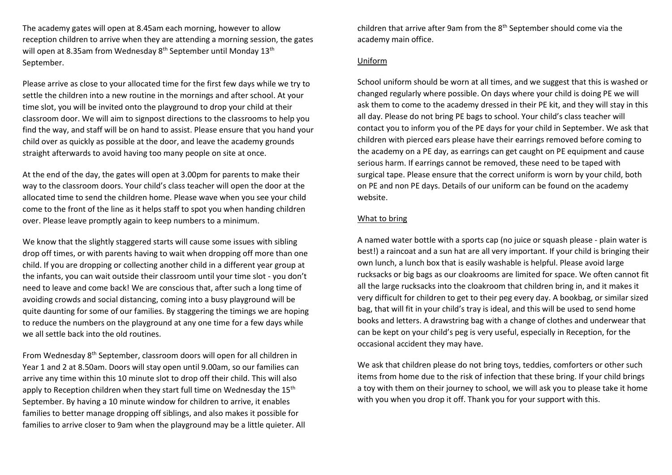The academy gates will open at 8.45am each morning, however to allow reception children to arrive when they are attending a morning session, the gates will open at 8.35am from Wednesday 8<sup>th</sup> September until Monday 13<sup>th</sup> September.

Please arrive as close to your allocated time for the first few days while we try to settle the children into a new routine in the mornings and after school. At your time slot, you will be invited onto the playground to drop your child at their classroom door. We will aim to signpost directions to the classrooms to help you find the way, and staff will be on hand to assist. Please ensure that you hand your child over as quickly as possible at the door, and leave the academy grounds straight afterwards to avoid having too many people on site at once.

At the end of the day, the gates will open at 3.00pm for parents to make their way to the classroom doors. Your child's class teacher will open the door at the allocated time to send the children home. Please wave when you see your child come to the front of the line as it helps staff to spot you when handing children over. Please leave promptly again to keep numbers to a minimum.

We know that the slightly staggered starts will cause some issues with sibling drop off times, or with parents having to wait when dropping off more than one child. If you are dropping or collecting another child in a different year group at the infants, you can wait outside their classroom until your time slot - you don't need to leave and come back! We are conscious that, after such a long time of avoiding crowds and social distancing, coming into a busy playground will be quite daunting for some of our families. By staggering the timings we are hoping to reduce the numbers on the playground at any one time for a few days while we all settle back into the old routines.

From Wednesday 8th September, classroom doors will open for all children in Year 1 and 2 at 8.50am. Doors will stay open until 9.00am, so our families can arrive any time within this 10 minute slot to drop off their child. This will also apply to Reception children when they start full time on Wednesday the  $15<sup>th</sup>$ September. By having a 10 minute window for children to arrive, it enables families to better manage dropping off siblings, and also makes it possible for families to arrive closer to 9am when the playground may be a little quieter. All children that arrive after 9am from the 8<sup>th</sup> September should come via the academy main office.

# Uniform

School uniform should be worn at all times, and we suggest that this is washed or changed regularly where possible. On days where your child is doing PE we will ask them to come to the academy dressed in their PE kit, and they will stay in this all day. Please do not bring PE bags to school. Your child's class teacher will contact you to inform you of the PE days for your child in September. We ask that children with pierced ears please have their earrings removed before coming to the academy on a PE day, as earrings can get caught on PE equipment and cause serious harm. If earrings cannot be removed, these need to be taped with surgical tape. Please ensure that the correct uniform is worn by your child, both on PE and non PE days. Details of our uniform can be found on the academy website.

# What to bring

A named water bottle with a sports cap (no juice or squash please - plain water is best!) a raincoat and a sun hat are all very important. If your child is bringing their own lunch, a lunch box that is easily washable is helpful. Please avoid large rucksacks or big bags as our cloakrooms are limited for space. We often cannot fit all the large rucksacks into the cloakroom that children bring in, and it makes it very difficult for children to get to their peg every day. A bookbag, or similar sized bag, that will fit in your child's tray is ideal, and this will be used to send home books and letters. A drawstring bag with a change of clothes and underwear that can be kept on your child's peg is very useful, especially in Reception, for the occasional accident they may have.

We ask that children please do not bring toys, teddies, comforters or other such items from home due to the risk of infection that these bring. If your child brings a toy with them on their journey to school, we will ask you to please take it home with you when you drop it off. Thank you for your support with this.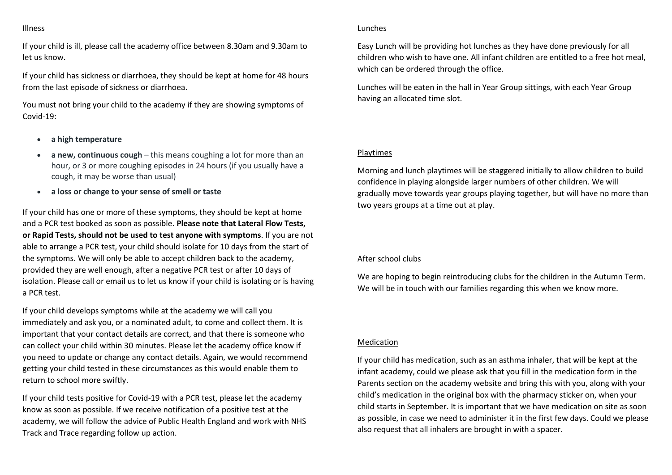#### Illness

If your child is ill, please call the academy office between 8.30am and 9.30am to let us know.

If your child has sickness or diarrhoea, they should be kept at home for 48 hours from the last episode of sickness or diarrhoea.

You must not bring your child to the academy if they are showing symptoms of Covid-19:

- **a high temperature**
- **a new, continuous cough** this means coughing a lot for more than an hour, or 3 or more coughing episodes in 24 hours (if you usually have a cough, it may be worse than usual)
- **a loss or change to your sense of smell or taste**

If your child has one or more of these symptoms, they should be kept at home and a PCR test booked as soon as possible. **Please note that Lateral Flow Tests, or Rapid Tests, should not be used to test anyone with symptoms**. If you are not able to arrange a PCR test, your child should isolate for 10 days from the start of the symptoms. We will only be able to accept children back to the academy, provided they are well enough, after a negative PCR test or after 10 days of isolation. Please call or email us to let us know if your child is isolating or is having a PCR test.

If your child develops symptoms while at the academy we will call you immediately and ask you, or a nominated adult, to come and collect them. It is important that your contact details are correct, and that there is someone who can collect your child within 30 minutes. Please let the academy office know if you need to update or change any contact details. Again, we would recommend getting your child tested in these circumstances as this would enable them to return to school more swiftly.

If your child tests positive for Covid-19 with a PCR test, please let the academy know as soon as possible. If we receive notification of a positive test at the academy, we will follow the advice of Public Health England and work with NHS Track and Trace regarding follow up action.

#### Lunches

Easy Lunch will be providing hot lunches as they have done previously for all children who wish to have one. All infant children are entitled to a free hot meal, which can be ordered through the office.

Lunches will be eaten in the hall in Year Group sittings, with each Year Group having an allocated time slot.

#### Playtimes

Morning and lunch playtimes will be staggered initially to allow children to build confidence in playing alongside larger numbers of other children. We will gradually move towards year groups playing together, but will have no more than two years groups at a time out at play.

# After school clubs

We are hoping to begin reintroducing clubs for the children in the Autumn Term. We will be in touch with our families regarding this when we know more.

#### Medication

If your child has medication, such as an asthma inhaler, that will be kept at the infant academy, could we please ask that you fill in the medication form in the Parents section on the academy website and bring this with you, along with your child's medication in the original box with the pharmacy sticker on, when your child starts in September. It is important that we have medication on site as soon as possible, in case we need to administer it in the first few days. Could we please also request that all inhalers are brought in with a spacer.